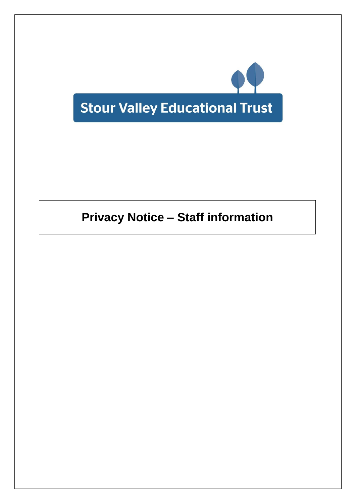

# **Privacy Notice – Staff information**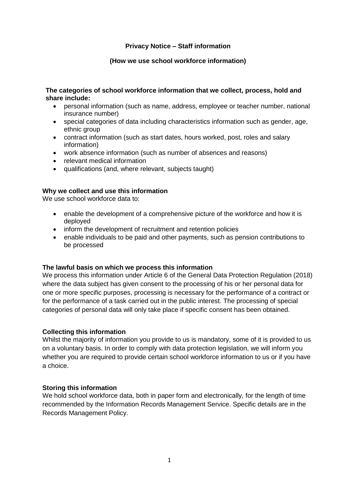# **Privacy Notice – Staff information**

# **(How we use school workforce information)**

## **The categories of school workforce information that we collect, process, hold and share include:**

- personal information (such as name, address, employee or teacher number, national insurance number)
- special categories of data including characteristics information such as gender, age, ethnic group
- contract information (such as start dates, hours worked, post, roles and salary information)
- work absence information (such as number of absences and reasons)
- relevant medical information
- qualifications (and, where relevant, subjects taught)

# **Why we collect and use this information**

We use school workforce data to:

- enable the development of a comprehensive picture of the workforce and how it is deployed
- inform the development of recruitment and retention policies
- enable individuals to be paid and other payments, such as pension contributions to be processed

# **The lawful basis on which we process this information**

We process this information under Article 6 of the General Data Protection Regulation (2018) where the data subject has given consent to the processing of his or her personal data for one or more specific purposes, processing is necessary for the performance of a contract or for the performance of a task carried out in the public interest. The processing of special categories of personal data will only take place if specific consent has been obtained.

# **Collecting this information**

Whilst the majority of information you provide to us is mandatory, some of it is provided to us on a voluntary basis. In order to comply with data protection legislation, we will inform you whether you are required to provide certain school workforce information to us or if you have a choice.

# **Storing this information**

We hold school workforce data, both in paper form and electronically, for the length of time recommended by the Information Records Management Service. Specific details are in the Records Management Policy.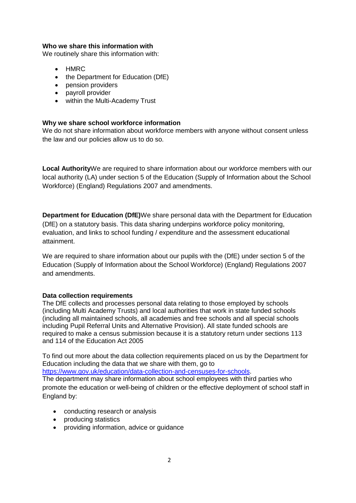## **Who we share this information with**

We routinely share this information with:

- HMRC
- the Department for Education (DfE)
- pension providers
- payroll provider
- within the Multi-Academy Trust

# **Why we share school workforce information**

We do not share information about workforce members with anyone without consent unless the law and our policies allow us to do so.

**Local Authority**We are required to share information about our workforce members with our local authority (LA) under section 5 of the Education (Supply of Information about the School Workforce) (England) Regulations 2007 and amendments.

**Department for Education (DfE)**We share personal data with the Department for Education (DfE) on a statutory basis. This data sharing underpins workforce policy monitoring, evaluation, and links to school funding / expenditure and the assessment educational attainment.

We are required to share information about our pupils with the (DfE) under section 5 of the Education (Supply of Information about the School Workforce) (England) Regulations 2007 and amendments.

# **Data collection requirements**

The DfE collects and processes personal data relating to those employed by schools (including Multi Academy Trusts) and local authorities that work in state funded schools (including all maintained schools, all academies and free schools and all special schools including Pupil Referral Units and Alternative Provision). All state funded schools are required to make a census submission because it is a statutory return under sections 113 and 114 of the Education Act 2005

To find out more about the data collection requirements placed on us by the Department for Education including the data that we share with them, go to

[https://www.gov.uk/education/data-collection-and-censuses-for-schools.](https://www.gov.uk/education/data-collection-and-censuses-for-schools)

The department may share information about school employees with third parties who promote the education or well-being of children or the effective deployment of school staff in England by:

- conducting research or analysis
- producing statistics
- providing information, advice or guidance